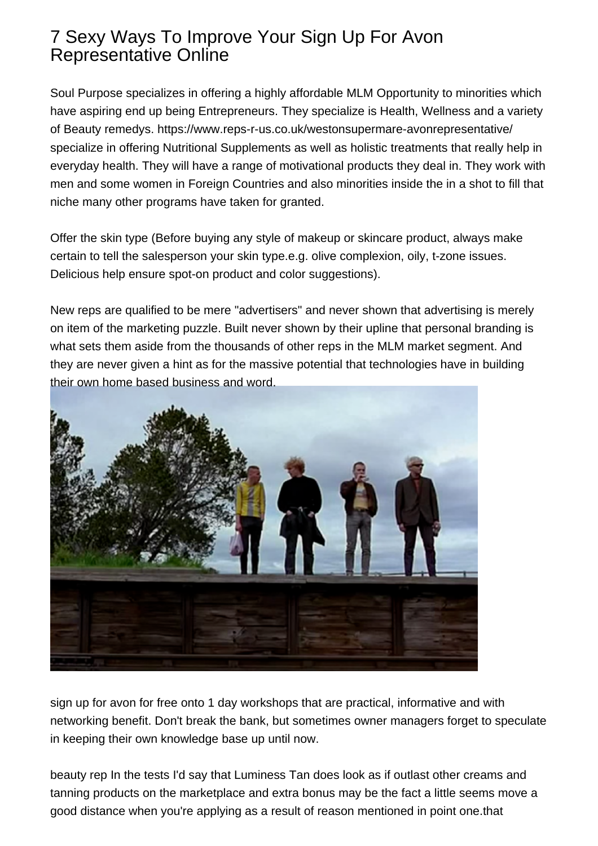## 7 Sexy Ways To Improve Your Sign Up For Avon Representative Online

Soul Purpose specializes in offering a highly affordable MLM Opportunity to minorities which have aspiring end up being Entrepreneurs. They specialize is Health, Wellness and a variety of Beauty remedys. <https://www.reps-r-us.co.uk/westonsupermare-avonrepresentative/> specialize in offering Nutritional Supplements as well as holistic treatments that really help in everyday health. They will have a range of motivational products they deal in. They work with men and some women in Foreign Countries and also minorities inside the in a shot to fill that niche many other programs have taken for granted.

Offer the skin type (Before buying any style of makeup or skincare product, always make certain to tell the salesperson your skin type.e.g. olive complexion, oily, t-zone issues. Delicious help ensure spot-on product and color suggestions).

New reps are qualified to be mere "advertisers" and never shown that advertising is merely on item of the marketing puzzle. Built never shown by their upline that personal branding is what sets them aside from the thousands of other reps in the MLM market segment. And they are never given a hint as for the massive potential that technologies have in building their own home based business and word.



[sign up for avon for free](https://www.reps-r-us.co.uk/newcastleupontyne-avonrepresentative/) onto 1 day workshops that are practical, informative and with networking benefit. Don't break the bank, but sometimes owner managers forget to speculate in keeping their own knowledge base up until now.

beauty rep In the tests I'd say that Luminess Tan does look as if outlast other creams and tanning products on the marketplace and extra bonus may be the fact a little seems move a good distance when you're applying as a result of reason mentioned in point one.that